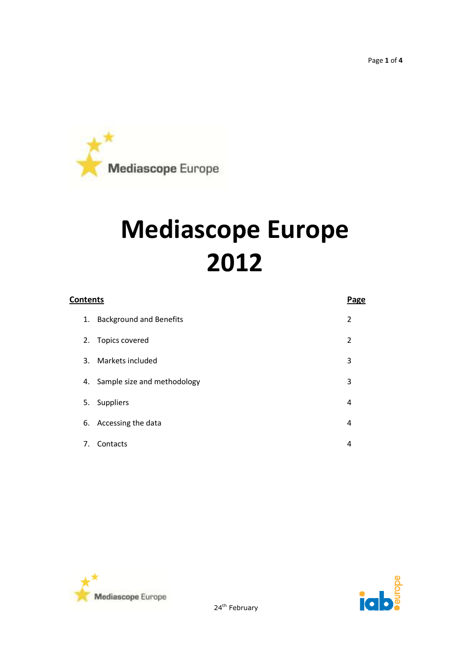Page **1** of **4**



# **Mediascope Europe 2012**

| <b>Contents</b> |                                | <b>Page</b> |
|-----------------|--------------------------------|-------------|
| 1.              | <b>Background and Benefits</b> | 2           |
|                 | 2. Topics covered              | 2           |
| 3.              | Markets included               | 3           |
| 4.              | Sample size and methodology    | 3           |
| 5.              | Suppliers                      | 4           |
| 6.              | Accessing the data             | 4           |
| 7.              | Contacts                       | 4           |





24<sup>th</sup> February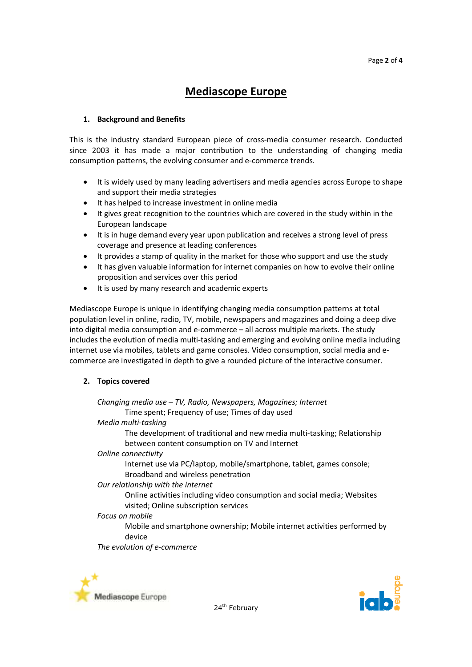# **Mediascope Europe**

# **1. Background and Benefits**

This is the industry standard European piece of cross-media consumer research. Conducted since 2003 it has made a major contribution to the understanding of changing media consumption patterns, the evolving consumer and e-commerce trends.

- It is widely used by many leading advertisers and media agencies across Europe to shape and support their media strategies
- It has helped to increase investment in online media
- It gives great recognition to the countries which are covered in the study within in the European landscape
- It is in huge demand every year upon publication and receives a strong level of press coverage and presence at leading conferences
- It provides a stamp of quality in the market for those who support and use the study
- It has given valuable information for internet companies on how to evolve their online proposition and services over this period
- It is used by many research and academic experts

Mediascope Europe is unique in identifying changing media consumption patterns at total population level in online, radio, TV, mobile, newspapers and magazines and doing a deep dive into digital media consumption and e-commerce – all across multiple markets. The study includes the evolution of media multi-tasking and emerging and evolving online media including internet use via mobiles, tablets and game consoles. Video consumption, social media and ecommerce are investigated in depth to give a rounded picture of the interactive consumer.

# **2. Topics covered**

*Changing media use – TV, Radio, Newspapers, Magazines; Internet* Time spent; Frequency of use; Times of day used *Media multi-tasking* The development of traditional and new media multi-tasking; Relationship between content consumption on TV and Internet *Online connectivity*  Internet use via PC/laptop, mobile/smartphone, tablet, games console; Broadband and wireless penetration *Our relationship with the internet* Online activities including video consumption and social media; Websites visited; Online subscription services *Focus on mobile*

Mobile and smartphone ownership; Mobile internet activities performed by device

*The evolution of e-commerce*



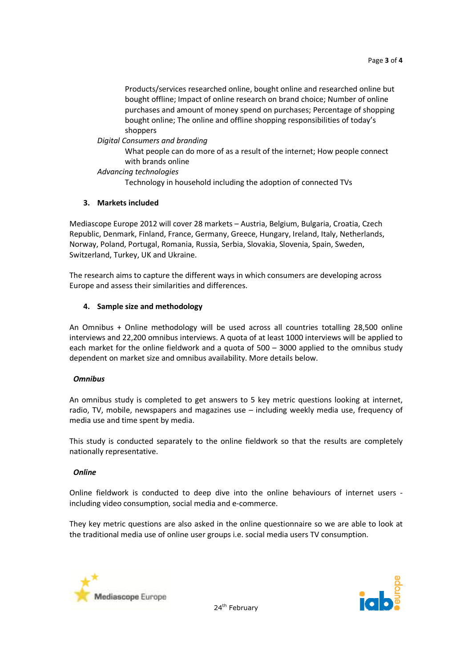Products/services researched online, bought online and researched online but bought offline; Impact of online research on brand choice; Number of online purchases and amount of money spend on purchases; Percentage of shopping bought online; The online and offline shopping responsibilities of today's shoppers

# *Digital Consumers and branding*

What people can do more of as a result of the internet; How people connect with brands online

# *Advancing technologies*

Technology in household including the adoption of connected TVs

# **3. Markets included**

Mediascope Europe 2012 will cover 28 markets – Austria, Belgium, Bulgaria, Croatia, Czech Republic, Denmark, Finland, France, Germany, Greece, Hungary, Ireland, Italy, Netherlands, Norway, Poland, Portugal, Romania, Russia, Serbia, Slovakia, Slovenia, Spain, Sweden, Switzerland, Turkey, UK and Ukraine.

The research aims to capture the different ways in which consumers are developing across Europe and assess their similarities and differences.

# **4. Sample size and methodology**

An Omnibus + Online methodology will be used across all countries totalling 28,500 online interviews and 22,200 omnibus interviews. A quota of at least 1000 interviews will be applied to each market for the online fieldwork and a quota of 500 – 3000 applied to the omnibus study dependent on market size and omnibus availability. More details below.

# *Omnibus*

An omnibus study is completed to get answers to 5 key metric questions looking at internet, radio, TV, mobile, newspapers and magazines use – including weekly media use, frequency of media use and time spent by media.

This study is conducted separately to the online fieldwork so that the results are completely nationally representative.

# *Online*

Online fieldwork is conducted to deep dive into the online behaviours of internet users including video consumption, social media and e-commerce.

They key metric questions are also asked in the online questionnaire so we are able to look at the traditional media use of online user groups i.e. social media users TV consumption.